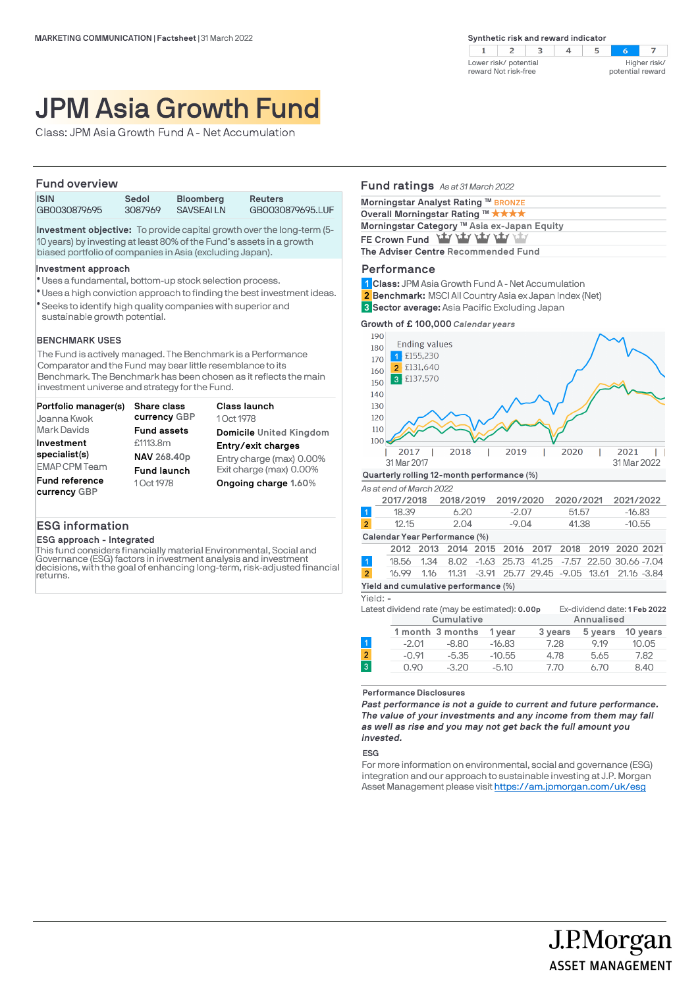$2 \mid 3$  $\overline{4}$  $\overline{z}$  $\mathbf{1}$ -5 Lower risk/ potential Higher risk/ reward Not risk-free potential reward

# JPM Asia Growth Fund

Class: JPM Asia Growth Fund A - Net Accumulation

## **Fund overview**

| .            |         |                  |                  |  |
|--------------|---------|------------------|------------------|--|
| <b>ISIN</b>  | Sedol   | <b>Bloomberg</b> | <b>Reuters</b>   |  |
| GB0030879695 | 3087969 | <b>SAVSEALLN</b> | GB0030879695.LUF |  |

**Investment objective:** To provide capital growth over the long-term (5- 10 years) by investing at least 80% of the Fund's assets in a growth biased portfolio of companies in Asia (excluding Japan).

#### **Investment approach**

- Uses a fundamental, bottom-up stock selection process. l
- Uses a high conviction approach to finding the best investment ideas. l
- Seeks to identify high quality companies with superior and l sustainable growth potential.

## **BENCHMARK USES**

The Fund is actively managed. The Benchmark is a Performance Comparator and the Fund may bear little resemblance to its Benchmark. The Benchmark has been chosen as it reflects the main investment universe and strategy for the Fund.

| Portfolio manager(s)                  | <b>Share class</b> | <b>Class launch</b>      |
|---------------------------------------|--------------------|--------------------------|
| Joanna Kwok                           | currency GBP       | 1 Oct 1978               |
| Mark Davids                           | <b>Fund assets</b> | Domicile United Kingdom  |
| Investment                            | £1113.8m           | Entry/exit charges       |
| specialist(s)                         | NAV 268.40p        | Entry charge (max) 0.00% |
| <b>EMAP CPM Team</b>                  | <b>Fund launch</b> | Exit charge (max) 0.00%  |
| <b>Fund reference</b><br>currency GBP | 1 Oct 1978         | Ongoing charge 1.60%     |

## **ESG information**

#### **ESG approach - Integrated**

This fund considers financially material Environmental, Social and Governance (ESG) factors in investment analysis and investment decisions, with the goal of enhancing long-term, risk-adjusted financial returns.

# **Fund ratings** *As at 31 March 2022* **Morningstar Analyst Rating <sup>™</sup> BRONZE Overall Morningstar Rating ™ ★ ★ ★ ★ Morningstar Category ™ Asia ex-Japan Equity** FE Crown Fund **Yty yty yty yty The Adviser Centre Recommended Fund**

## **Performance**

- **Class:** JPM Asia Growth Fund A Net Accumulation **1**
- **Benchmark:** MSCI All Country Asia ex Japan Index (Net) **2**
- **Sector average:** Asia Pacific Excluding Japan **3**

**Growth of £ 100,000** *Calendar years*



| $-16.83$                                          |
|---------------------------------------------------|
|                                                   |
| $-10.55$                                          |
|                                                   |
| 2012 2013 2014 2015 2016 2017 2018 2019 2020 2021 |
|                                                   |

|                | 18.56  1.34  8.02  -1.63  25.73  41.25  -7.57  22.50  30.66  -7.04  |  |  |  |  |  |
|----------------|---------------------------------------------------------------------|--|--|--|--|--|
| 2 <sup>1</sup> | 16.99  1.16  11.31  -3.91  25.77  29.45  -9.05  13.61  21.16  -3.84 |  |  |  |  |  |
|                | Yield and cumulative performance (%)                                |  |  |  |  |  |

#### Yield: **-**

|         |         | 1 year                         | 3 years | 5 years                                        | 10 years                                   |
|---------|---------|--------------------------------|---------|------------------------------------------------|--------------------------------------------|
| $-2.01$ | $-8.80$ | $-16.83$                       | 7.28    | 9.19                                           | 10.05                                      |
| $-0.91$ | $-5.35$ | $-10.55$                       | 4.78    | 5.65                                           | 7.82                                       |
| 0.90    | $-3.20$ | $-5.10$                        | 7.70    | 6.70                                           | 8.40                                       |
|         |         | Cumulative<br>1 month 3 months |         | Latest dividend rate (may be estimated): 0.00p | Ex-dividend date: 1 Feb 2022<br>Annualised |

**Performance Disclosures**

*Past performance is not a guide to current and future performance. The value of your investments and any income from them may fall as well as rise and you may not get back the full amount you invested.* 

#### **ESG**

For more information on environmental, social and governance (ESG) integration and our approach to sustainable investing at J.P. Morgan Asset Management please visit https://am.jpmorgan.com/uk/esg

J.P.Morgan

**ASSET MANAGEMENT**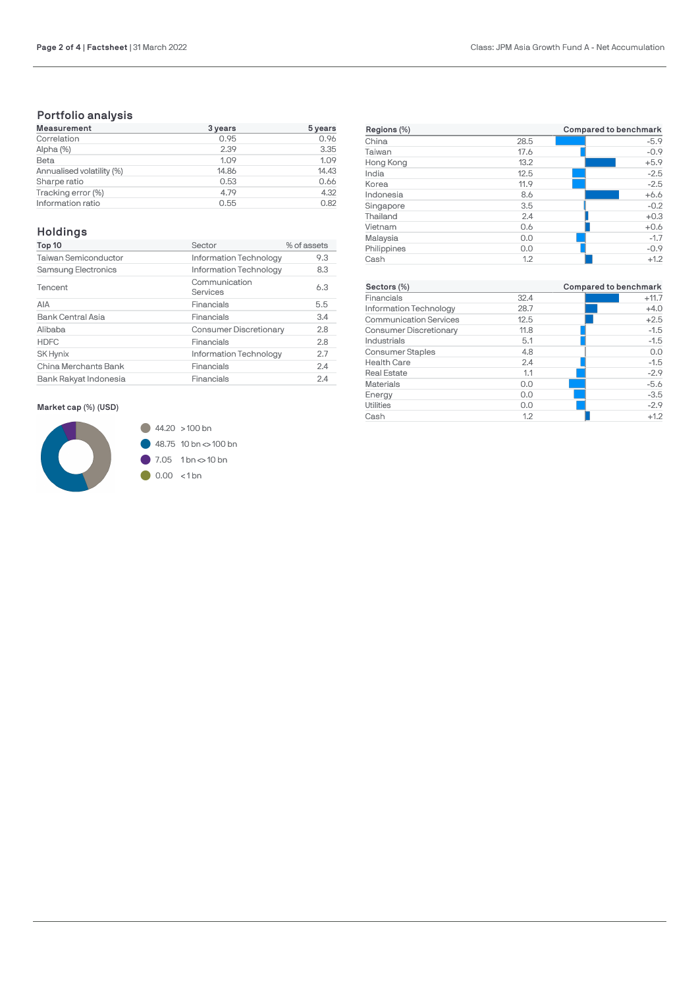# **Portfolio analysis**

| <b>Measurement</b>        | 3 years | 5 years |
|---------------------------|---------|---------|
| Correlation               | 0.95    | 0.96    |
| Alpha (%)                 | 2.39    | 3.35    |
| Beta                      | 1.09    | 1.09    |
| Annualised volatility (%) | 14.86   | 14.43   |
| Sharpe ratio              | 0.53    | 0.66    |
| Tracking error (%)        | 4.79    | 4.32    |
| Information ratio         | 0.55    | 0.82    |

# **Holdings**

| Top 10                   | Sector                        | % of assets |
|--------------------------|-------------------------------|-------------|
| Taiwan Semiconductor     | Information Technology        | 9.3         |
| Samsung Electronics      | Information Technology        | 8.3         |
| Tencent                  | Communication<br>Services     | 6.3         |
| AIA                      | Financials                    | 5.5         |
| <b>Bank Central Asia</b> | Financials                    | 3.4         |
| Alibaba                  | <b>Consumer Discretionary</b> | 2.8         |
| <b>HDFC</b>              | Financials                    | 2.8         |
| <b>SK Hynix</b>          | Information Technology        | 2.7         |
| China Merchants Bank     | Financials                    | 2.4         |
| Bank Rakyat Indonesia    | Financials                    | 2.4         |

## **Market cap (%) (USD)**



| Regions (%) |      | Compared to benchmark |
|-------------|------|-----------------------|
| China       | 28.5 | $-5.9$                |
| Taiwan      | 17.6 | $-0.9$                |
| Hong Kong   | 13.2 | $+5.9$                |
| India       | 12.5 | $-2.5$                |
| Korea       | 11.9 | $-2.5$                |
| Indonesia   | 8.6  | $+6.6$                |
| Singapore   | 3.5  | $-0.2$                |
| Thailand    | 2.4  | $+0.3$                |
| Vietnam     | 0.6  | $+0.6$                |
| Malaysia    | 0.0  | $-1.7$                |
| Philippines | 0.0  | $-0.9$                |
| Cash        | 1.2  | $+1.2$                |

| Sectors (%)                   |      | Compared to benchmark |
|-------------------------------|------|-----------------------|
| Financials                    | 32.4 | $+11.7$               |
| Information Technology        | 28.7 | $+4.0$                |
| <b>Communication Services</b> | 12.5 | $+2.5$                |
| <b>Consumer Discretionary</b> | 11.8 | $-1.5$                |
| Industrials                   | 5.1  | $-1.5$                |
| <b>Consumer Staples</b>       | 4.8  | 0.0                   |
| <b>Health Care</b>            | 2.4  | $-1.5$                |
| <b>Real Estate</b>            | 1.1  | $-2.9$                |
| <b>Materials</b>              | 0.0  | $-5.6$                |
| Energy                        | 0.0  | $-3.5$                |
| <b>Utilities</b>              | 0.0  | $-2.9$                |
| Cash                          | 1.2  | $+1.2$                |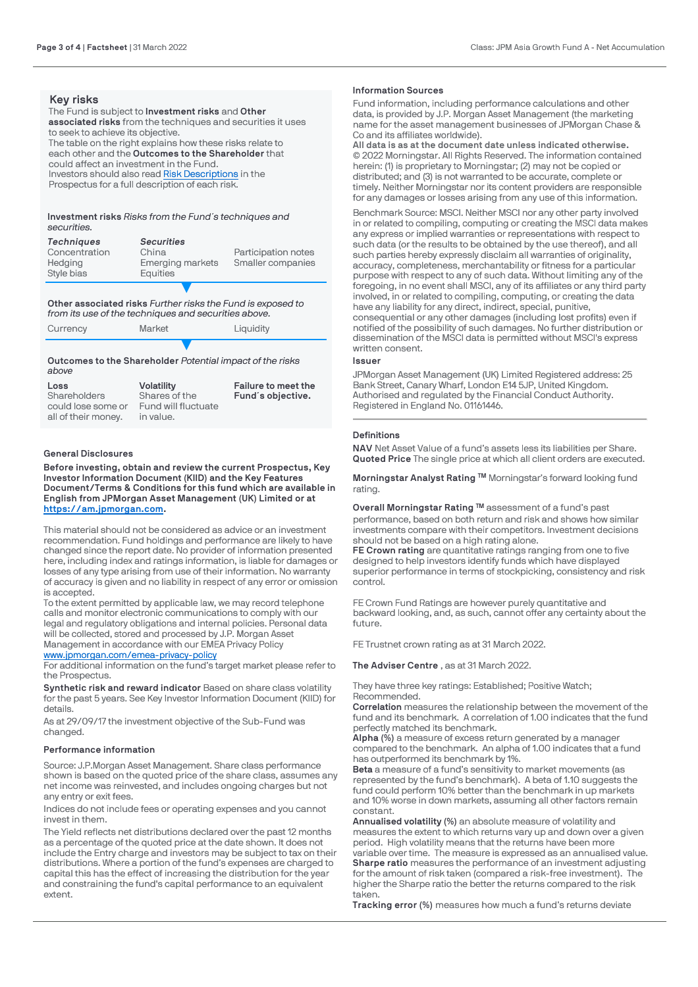## **Key risks**

The Fund is subject to **Investment risks** and **Other associated risks** from the techniques and securities it uses to seek to achieve its objective. The table on the right explains how these risks relate to each other and the **Outcomes to the Shareholder** that could affect an investment in the Fund. Investors should also read [Risk Descriptions](https://am.jpmorgan.com/gb/en/asset-management/adv/products/fund-explorer/oeics) in the Prospectus for a full description of each risk.

#### **Investment risks** *Risks from the Fund´s techniques and securities.*

| <b>Techniques</b><br>Concentration<br>Hedging<br>Style bias | <b>Securities</b><br>China<br><b>Emerging markets</b><br>Equities | Participation notes<br>Smaller companies |
|-------------------------------------------------------------|-------------------------------------------------------------------|------------------------------------------|
|                                                             |                                                                   |                                          |

## **Other associated risks** *Further risks the Fund is exposed to from its use of the techniques and securities above.*

| Currency | Market | Liquidity |
|----------|--------|-----------|
|----------|--------|-----------|

## ▼ **Outcomes to the Shareholder** *Potential impact of the risks above*

| Loss                | <b>Volatility</b>   | Failure to meet the |
|---------------------|---------------------|---------------------|
| Shareholders        | Shares of the       | Fund's objective.   |
| could lose some or  | Fund will fluctuate |                     |
| all of their money. | in value.           |                     |

## **General Disclosures**

**Before investing, obtain and review the current Prospectus, Key Investor Information Document (KIID) and the Key Features Document/Terms & Conditions for this fund which are available in English from JPMorgan Asset Management (UK) Limited or at [https://am.jpmorgan.com](https://am.jpmorgan.com/).** 

This material should not be considered as advice or an investment recommendation. Fund holdings and performance are likely to have changed since the report date. No provider of information presented here, including index and ratings information, is liable for damages or losses of any type arising from use of their information. No warranty of accuracy is given and no liability in respect of any error or omission is accepted.

To the extent permitted by applicable law, we may record telephone calls and monitor electronic communications to comply with our legal and regulatory obligations and internal policies. Personal data will be collected, stored and processed by J.P. Morgan Asset Management in accordance with our EMEA Privacy Policy [www.jpmorgan.com/emea-privacy-policy](https://www.jpmorgan.com/emea-privacy-policy)

For additional information on the fund's target market please refer to the Prospectus.

**Synthetic risk and reward indicator** Based on share class volatility for the past 5 years. See Key Investor Information Document (KIID) for details.

As at 29/09/17 the investment objective of the Sub-Fund was changed.

## **Performance information**

Source: J.P.Morgan Asset Management. Share class performance shown is based on the quoted price of the share class, assumes any net income was reinvested, and includes ongoing charges but not any entry or exit fees.

Indices do not include fees or operating expenses and you cannot invest in them.

The Yield reflects net distributions declared over the past 12 months as a percentage of the quoted price at the date shown. It does not include the Entry charge and investors may be subject to tax on their distributions. Where a portion of the fund's expenses are charged to capital this has the effect of increasing the distribution for the year and constraining the fund's capital performance to an equivalent extent.

#### **Information Sources**

Fund information, including performance calculations and other data, is provided by J.P. Morgan Asset Management (the marketing name for the asset management businesses of JPMorgan Chase & Co and its affiliates worldwide).

**All data is as at the document date unless indicated otherwise.** © 2022 Morningstar. All Rights Reserved. The information contained herein: (1) is proprietary to Morningstar; (2) may not be copied or distributed; and (3) is not warranted to be accurate, complete or timely. Neither Morningstar nor its content providers are responsible for any damages or losses arising from any use of this information.

Benchmark Source: MSCI. Neither MSCI nor any other party involved in or related to compiling, computing or creating the MSCI data makes any express or implied warranties or representations with respect to such data (or the results to be obtained by the use thereof), and all such parties hereby expressly disclaim all warranties of originality, accuracy, completeness, merchantability or fitness for a particular purpose with respect to any of such data. Without limiting any of the foregoing, in no event shall MSCI, any of its affiliates or any third party involved, in or related to compiling, computing, or creating the data have any liability for any direct, indirect, special, punitive, consequential or any other damages (including lost profits) even if notified of the possibility of such damages. No further distribution or dissemination of the MSCI data is permitted without MSCI's express written consent.

### **Issuer**

JPMorgan Asset Management (UK) Limited Registered address: 25 Bank Street, Canary Wharf, London E14 5JP, United Kingdom. Authorised and regulated by the Financial Conduct Authority. Registered in England No. 01161446.

## **Definitions**

**NAV** Net Asset Value of a fund's assets less its liabilities per Share. **Quoted Price** The single price at which all client orders are executed.

**Morningstar Analyst Rating ™** Morningstar's forward looking fund rating.

**Overall Morningstar Rating ™** assessment of a fund's past performance, based on both return and risk and shows how similar investments compare with their competitors. Investment decisions should not be based on a high rating alone.

**FE Crown rating** are quantitative ratings ranging from one to five designed to help investors identify funds which have displayed superior performance in terms of stockpicking, consistency and risk control.

FE Crown Fund Ratings are however purely quantitative and backward looking, and, as such, cannot offer any certainty about the future.

FE Trustnet crown rating as at 31 March 2022.

**The Adviser Centre** , as at 31 March 2022.

They have three key ratings: Established; Positive Watch; Recommended.

**Correlation** measures the relationship between the movement of the fund and its benchmark. A correlation of 1.00 indicates that the fund perfectly matched its benchmark.

**Alpha (%)** a measure of excess return generated by a manager compared to the benchmark. An alpha of 1.00 indicates that a fund has outperformed its benchmark by 1%.

**Beta** a measure of a fund's sensitivity to market movements (as represented by the fund's benchmark). A beta of 1.10 suggests the fund could perform 10% better than the benchmark in up markets and 10% worse in down markets, assuming all other factors remain constant.

**Annualised volatility (%)** an absolute measure of volatility and measures the extent to which returns vary up and down over a given period. High volatility means that the returns have been more variable over time. The measure is expressed as an annualised value. **Sharpe ratio** measures the performance of an investment adjusting for the amount of risk taken (compared a risk-free investment). The higher the Sharpe ratio the better the returns compared to the risk taken.

**Tracking error (%)** measures how much a fund's returns deviate